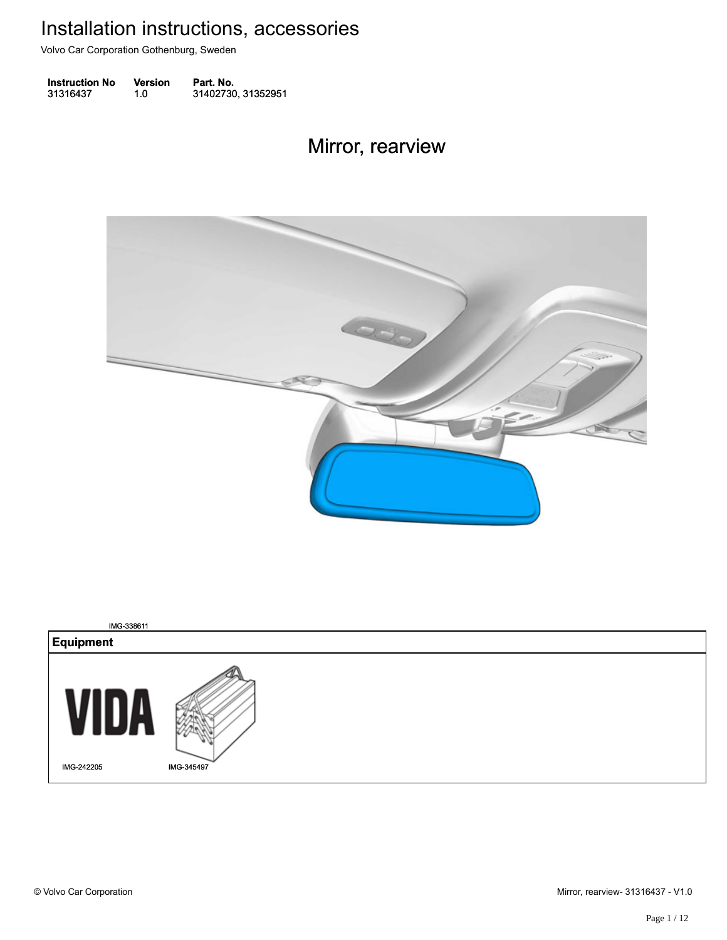Volvo Car Corporation Gothenburg, Sweden

| <b>Instruction No</b> | Version | Part. No.          |
|-----------------------|---------|--------------------|
| 31316437              | 1.0     | 31402730, 31352951 |

#### Mirror, rearview Mirror, rearview



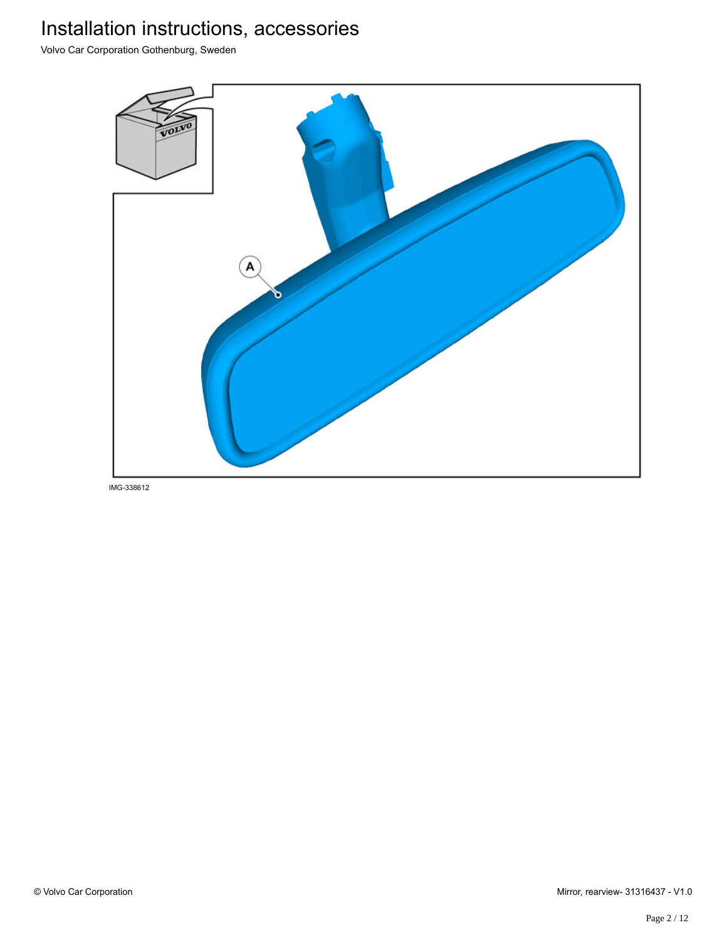Volvo Car Corporation Gothenburg, Sweden



IMG-338612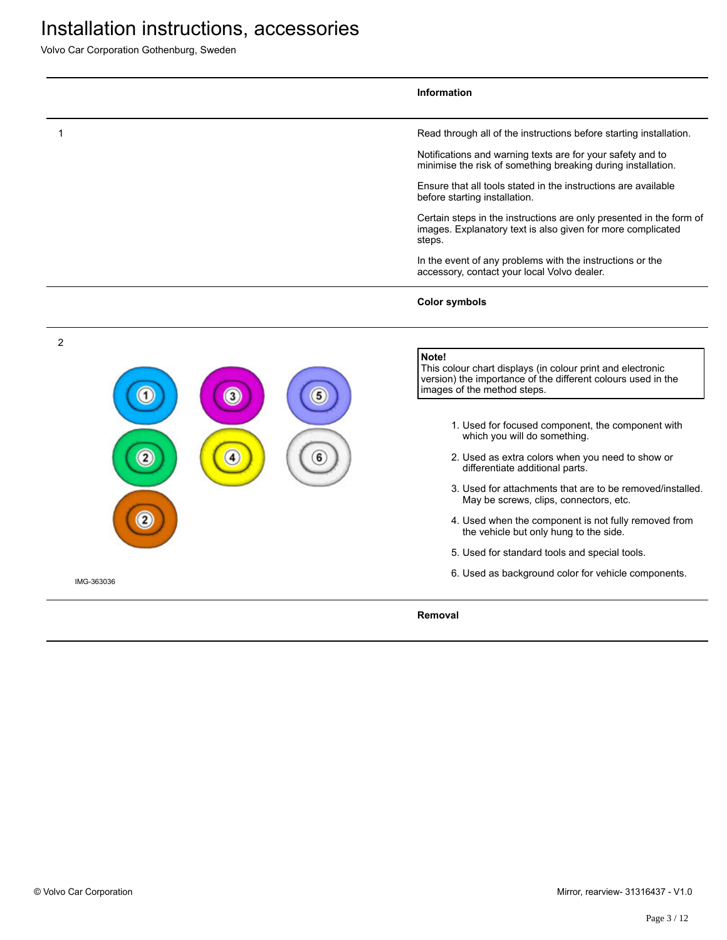Volvo Car Corporation Gothenburg, Sweden

|                | <b>Information</b>                                                                                                                                                 |
|----------------|--------------------------------------------------------------------------------------------------------------------------------------------------------------------|
|                | Read through all of the instructions before starting installation.                                                                                                 |
|                | Notifications and warning texts are for your safety and to<br>minimise the risk of something breaking during installation.                                         |
|                | Ensure that all tools stated in the instructions are available<br>before starting installation.                                                                    |
|                | Certain steps in the instructions are only presented in the form of<br>images. Explanatory text is also given for more complicated<br>steps.                       |
|                | In the event of any problems with the instructions or the<br>accessory, contact your local Volvo dealer.                                                           |
|                | <b>Color symbols</b>                                                                                                                                               |
| $\overline{2}$ |                                                                                                                                                                    |
| 3              | Note!<br>This colour chart displays (in colour print and electronic<br>version) the importance of the different colours used in the<br>images of the method steps. |
|                | 1. Used for focused component, the component with<br>which you will do something.                                                                                  |
|                | 2. Used as extra colors when you need to show or<br>differentiate additional parts.                                                                                |
|                | 3. Used for attachments that are to be removed/installed.<br>May be screws, clips, connectors, etc.                                                                |
|                | 4. Used when the component is not fully removed from<br>the vehicle but only hung to the side.                                                                     |
|                | 5. Used for standard tools and special tools.                                                                                                                      |
| IMG-363036     | 6. Used as background color for vehicle components.                                                                                                                |
|                | Removal                                                                                                                                                            |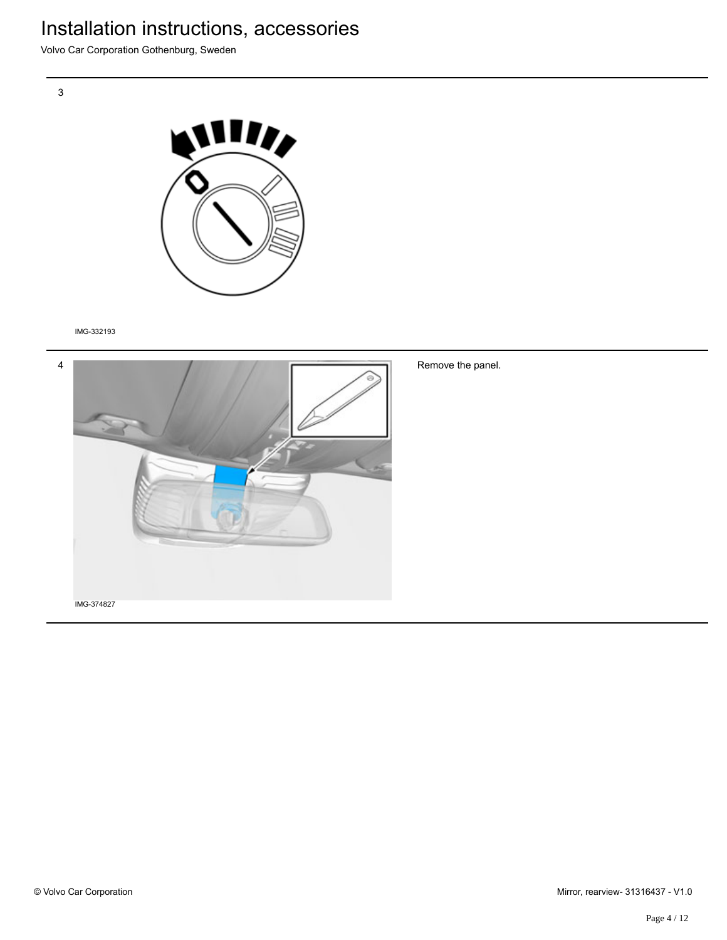Volvo Car Corporation Gothenburg, Sweden



IMG-332193



Remove the panel.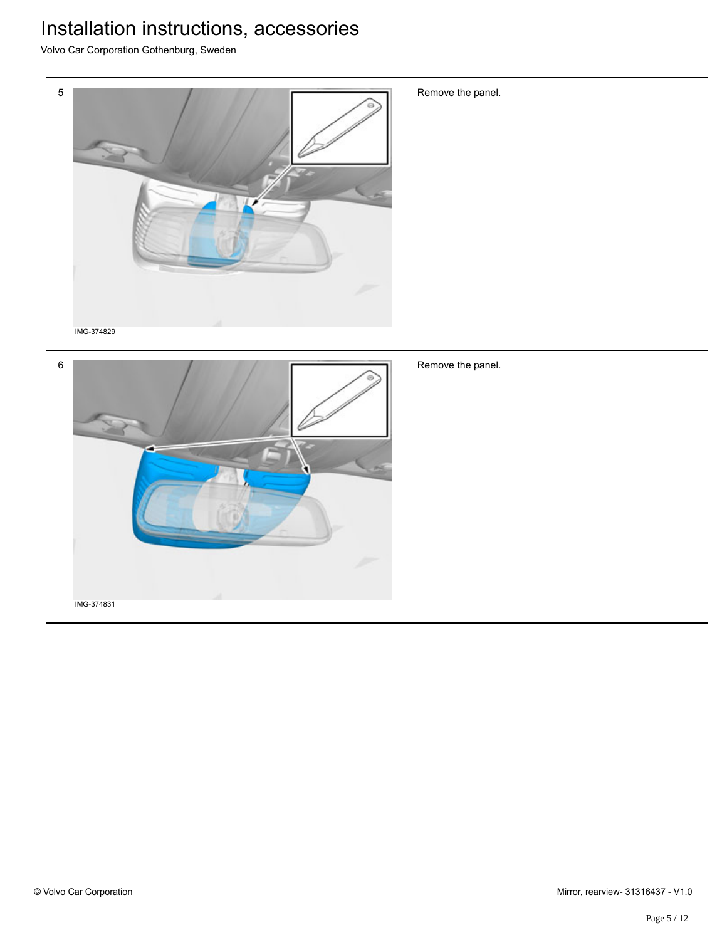Volvo Car Corporation Gothenburg, Sweden



Remove the panel.



Remove the panel.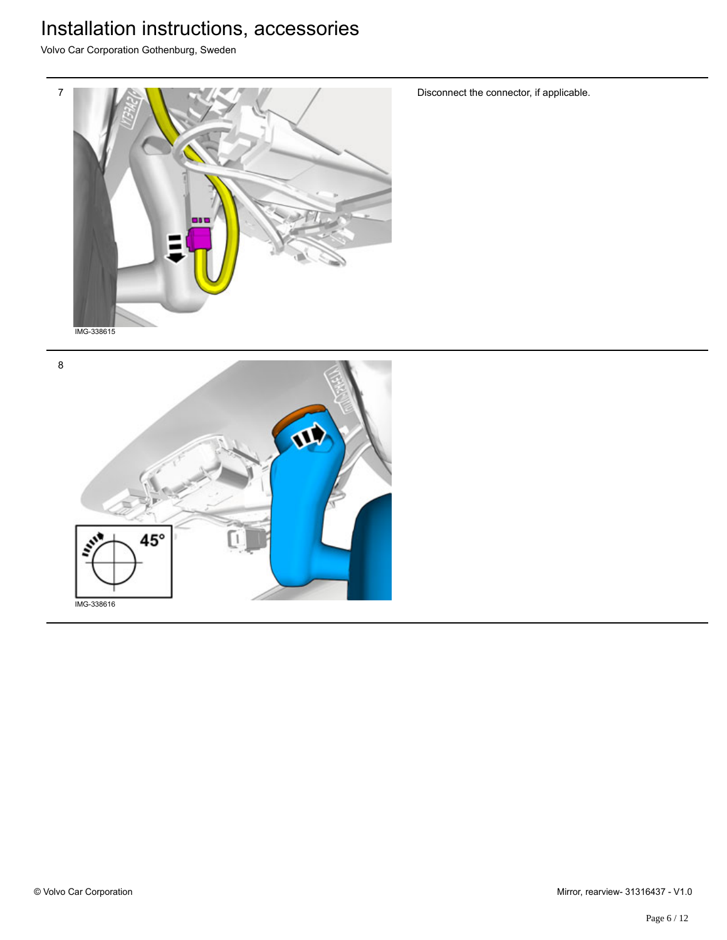Volvo Car Corporation Gothenburg, Sweden



Disconnect the connector, if applicable.

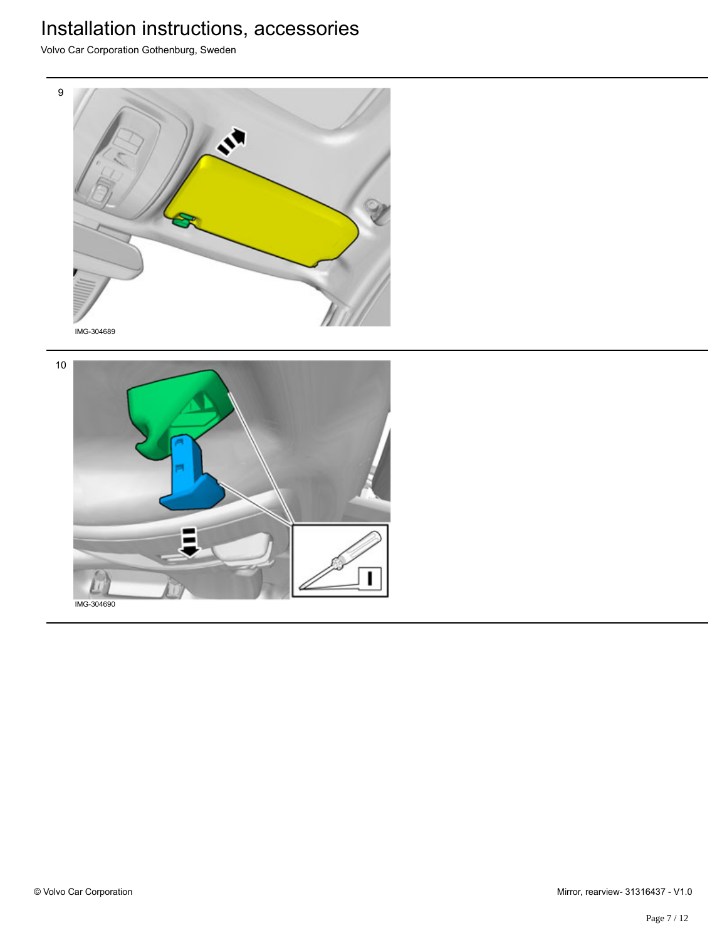Volvo Car Corporation Gothenburg, Sweden





IMG-304690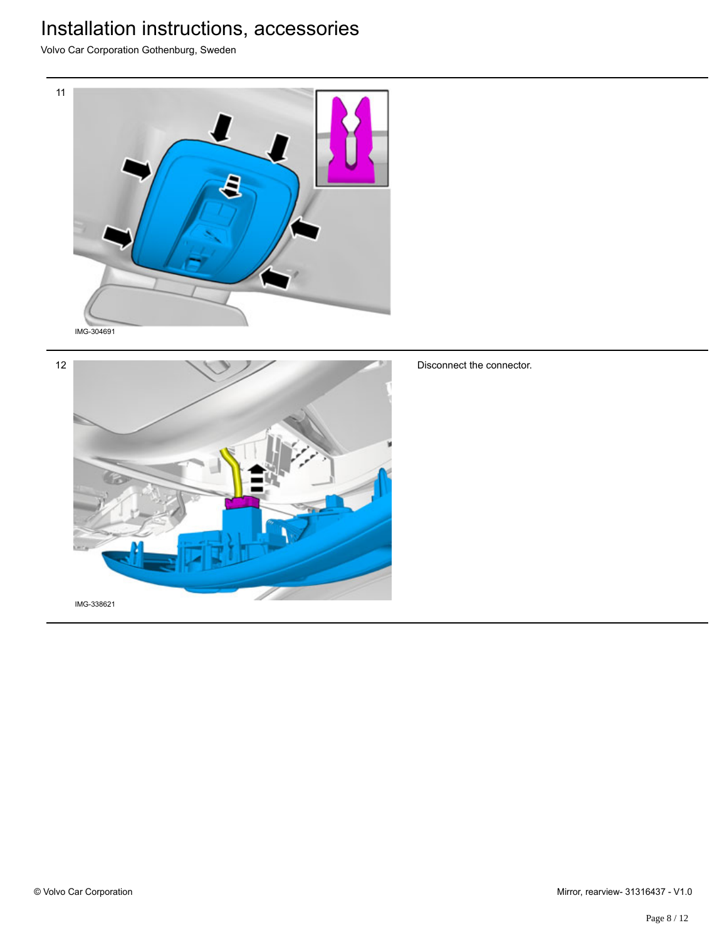Volvo Car Corporation Gothenburg, Sweden





Disconnect the connector.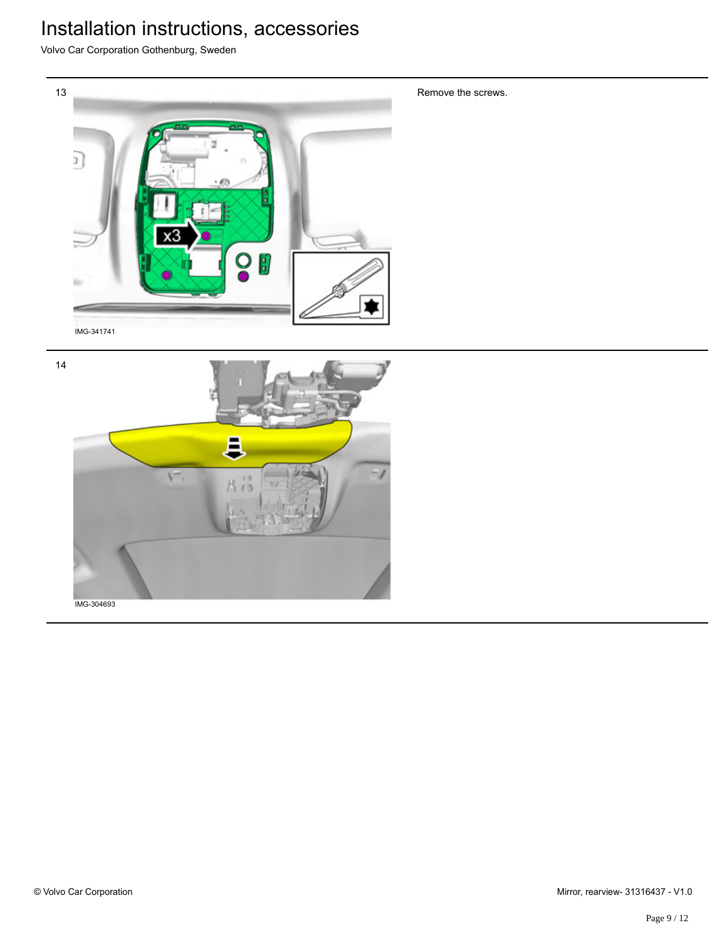Volvo Car Corporation Gothenburg, Sweden



14 E V IMG-304693

Remove the screws.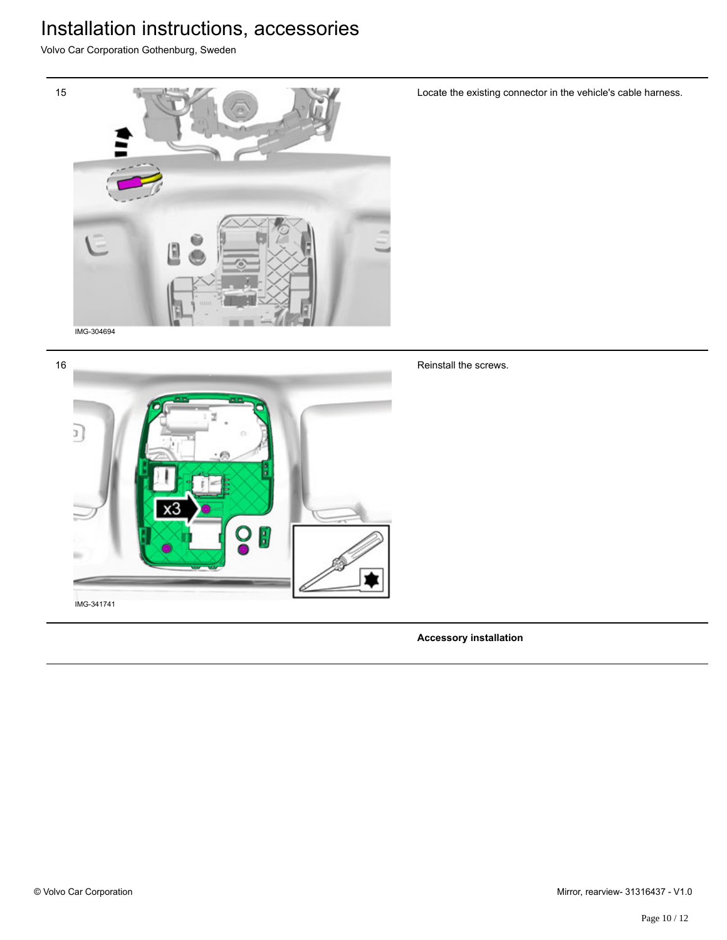Volvo Car Corporation Gothenburg, Sweden





Locate the existing connector in the vehicle's cable harness.

Reinstall the screws.

**Accessory installation**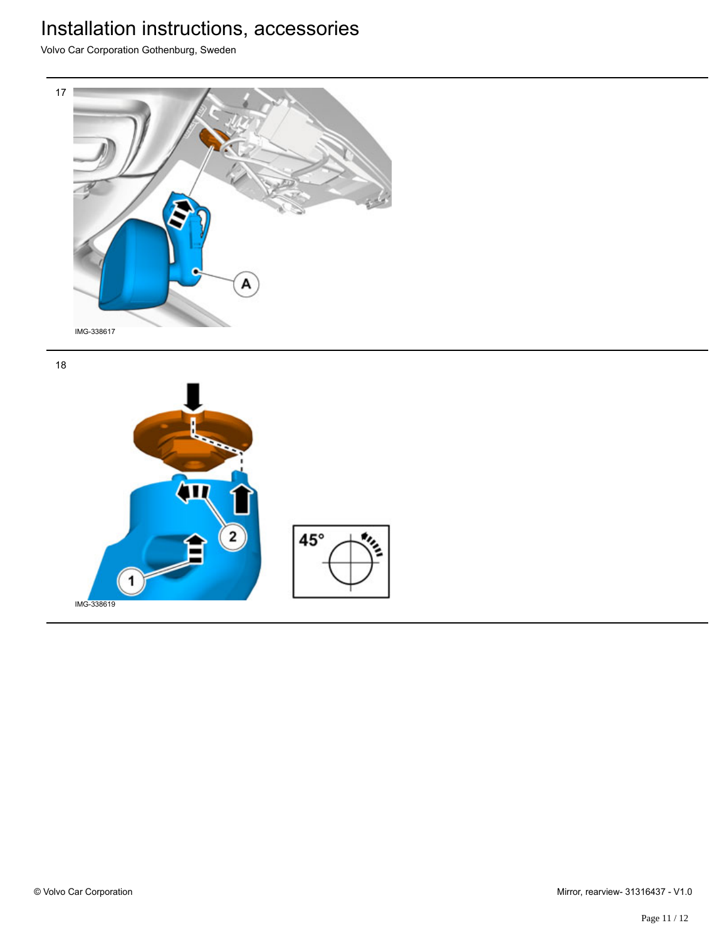Volvo Car Corporation Gothenburg, Sweden



18